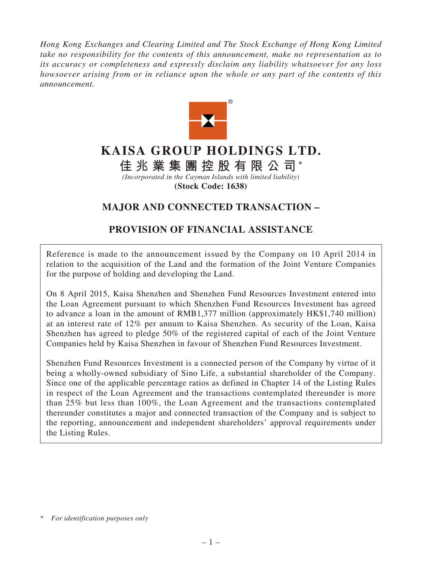*Hong Kong Exchanges and Clearing Limited and The Stock Exchange of Hong Kong Limited take no responsibility for the contents of this announcement, make no representation as to its accuracy or completeness and expressly disclaim any liability whatsoever for any loss howsoever arising from or in reliance upon the whole or any part of the contents of this announcement.*



# **KAISA GROUP HOLDINGS LTD.**

**佳兆業集團控股有限公司 \***

*(Incorporated in the Cayman Islands with limited liability)* **(Stock Code: 1638)**

# **MAJOR AND CONNECTED TRANSACTION –**

# **PROVISION OF FINANCIAL ASSISTANCE**

Reference is made to the announcement issued by the Company on 10 April 2014 in relation to the acquisition of the Land and the formation of the Joint Venture Companies for the purpose of holding and developing the Land.

On 8 April 2015, Kaisa Shenzhen and Shenzhen Fund Resources Investment entered into the Loan Agreement pursuant to which Shenzhen Fund Resources Investment has agreed to advance a loan in the amount of RMB1,377 million (approximately HK\$1,740 million) at an interest rate of 12% per annum to Kaisa Shenzhen. As security of the Loan, Kaisa Shenzhen has agreed to pledge 50% of the registered capital of each of the Joint Venture Companies held by Kaisa Shenzhen in favour of Shenzhen Fund Resources Investment.

Shenzhen Fund Resources Investment is a connected person of the Company by virtue of it being a wholly-owned subsidiary of Sino Life, a substantial shareholder of the Company. Since one of the applicable percentage ratios as defined in Chapter 14 of the Listing Rules in respect of the Loan Agreement and the transactions contemplated thereunder is more than 25% but less than 100%, the Loan Agreement and the transactions contemplated thereunder constitutes a major and connected transaction of the Company and is subject to the reporting, announcement and independent shareholders' approval requirements under the Listing Rules.

<sup>\*</sup> *For identification purposes only*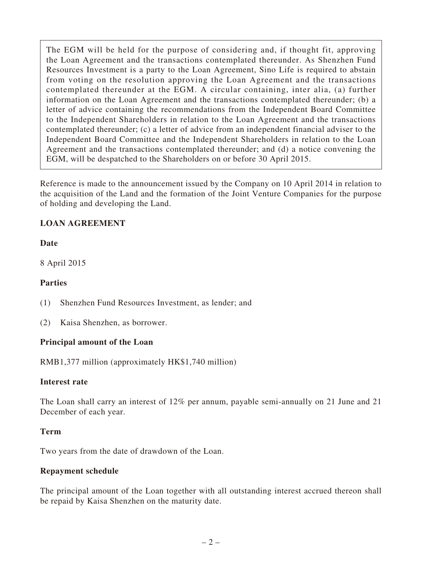The EGM will be held for the purpose of considering and, if thought fit, approving the Loan Agreement and the transactions contemplated thereunder. As Shenzhen Fund Resources Investment is a party to the Loan Agreement, Sino Life is required to abstain from voting on the resolution approving the Loan Agreement and the transactions contemplated thereunder at the EGM. A circular containing, inter alia, (a) further information on the Loan Agreement and the transactions contemplated thereunder; (b) a letter of advice containing the recommendations from the Independent Board Committee to the Independent Shareholders in relation to the Loan Agreement and the transactions contemplated thereunder; (c) a letter of advice from an independent financial adviser to the Independent Board Committee and the Independent Shareholders in relation to the Loan Agreement and the transactions contemplated thereunder; and (d) a notice convening the EGM, will be despatched to the Shareholders on or before 30 April 2015.

Reference is made to the announcement issued by the Company on 10 April 2014 in relation to the acquisition of the Land and the formation of the Joint Venture Companies for the purpose of holding and developing the Land.

## **LOAN AGREEMENT**

#### **Date**

8 April 2015

#### **Parties**

- (1) Shenzhen Fund Resources Investment, as lender; and
- (2) Kaisa Shenzhen, as borrower.

#### **Principal amount of the Loan**

RMB1,377 million (approximately HK\$1,740 million)

#### **Interest rate**

The Loan shall carry an interest of 12% per annum, payable semi-annually on 21 June and 21 December of each year.

#### **Term**

Two years from the date of drawdown of the Loan.

#### **Repayment schedule**

The principal amount of the Loan together with all outstanding interest accrued thereon shall be repaid by Kaisa Shenzhen on the maturity date.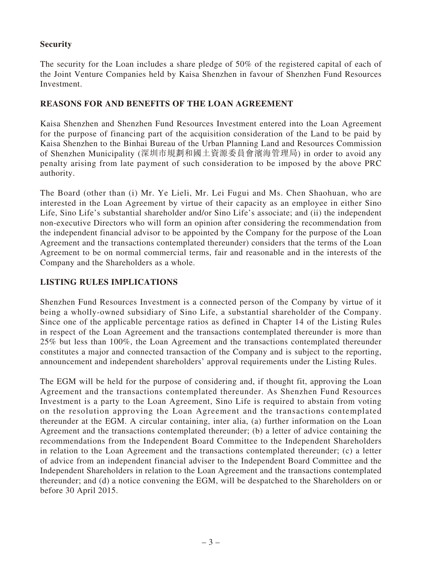### **Security**

The security for the Loan includes a share pledge of 50% of the registered capital of each of the Joint Venture Companies held by Kaisa Shenzhen in favour of Shenzhen Fund Resources Investment.

#### **REASONS FOR AND BENEFITS OF THE LOAN AGREEMENT**

Kaisa Shenzhen and Shenzhen Fund Resources Investment entered into the Loan Agreement for the purpose of financing part of the acquisition consideration of the Land to be paid by Kaisa Shenzhen to the Binhai Bureau of the Urban Planning Land and Resources Commission of Shenzhen Municipality (深圳市規劃和國土資源委員會濱海管理局) in order to avoid any penalty arising from late payment of such consideration to be imposed by the above PRC authority.

The Board (other than (i) Mr. Ye Lieli, Mr. Lei Fugui and Ms. Chen Shaohuan, who are interested in the Loan Agreement by virtue of their capacity as an employee in either Sino Life, Sino Life's substantial shareholder and/or Sino Life's associate; and (ii) the independent non-executive Directors who will form an opinion after considering the recommendation from the independent financial advisor to be appointed by the Company for the purpose of the Loan Agreement and the transactions contemplated thereunder) considers that the terms of the Loan Agreement to be on normal commercial terms, fair and reasonable and in the interests of the Company and the Shareholders as a whole.

## **LISTING RULES IMPLICATIONS**

Shenzhen Fund Resources Investment is a connected person of the Company by virtue of it being a wholly-owned subsidiary of Sino Life, a substantial shareholder of the Company. Since one of the applicable percentage ratios as defined in Chapter 14 of the Listing Rules in respect of the Loan Agreement and the transactions contemplated thereunder is more than 25% but less than 100%, the Loan Agreement and the transactions contemplated thereunder constitutes a major and connected transaction of the Company and is subject to the reporting, announcement and independent shareholders' approval requirements under the Listing Rules.

The EGM will be held for the purpose of considering and, if thought fit, approving the Loan Agreement and the transactions contemplated thereunder. As Shenzhen Fund Resources Investment is a party to the Loan Agreement, Sino Life is required to abstain from voting on the resolution approving the Loan Agreement and the transactions contemplated thereunder at the EGM. A circular containing, inter alia, (a) further information on the Loan Agreement and the transactions contemplated thereunder; (b) a letter of advice containing the recommendations from the Independent Board Committee to the Independent Shareholders in relation to the Loan Agreement and the transactions contemplated thereunder; (c) a letter of advice from an independent financial adviser to the Independent Board Committee and the Independent Shareholders in relation to the Loan Agreement and the transactions contemplated thereunder; and (d) a notice convening the EGM, will be despatched to the Shareholders on or before 30 April 2015.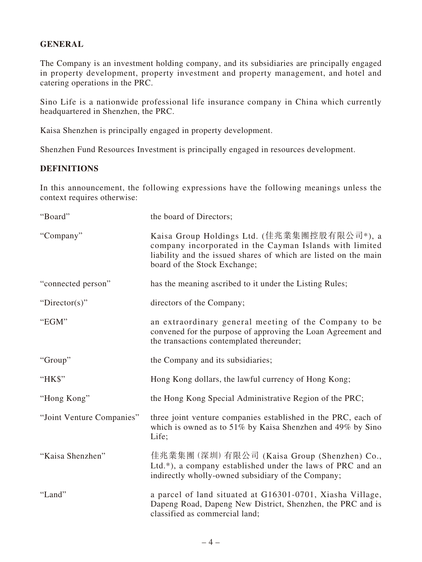#### **GENERAL**

The Company is an investment holding company, and its subsidiaries are principally engaged in property development, property investment and property management, and hotel and catering operations in the PRC.

Sino Life is a nationwide professional life insurance company in China which currently headquartered in Shenzhen, the PRC.

Kaisa Shenzhen is principally engaged in property development.

Shenzhen Fund Resources Investment is principally engaged in resources development.

#### **DEFINITIONS**

In this announcement, the following expressions have the following meanings unless the context requires otherwise:

| "Board"                   | the board of Directors;                                                                                                                                                                                   |
|---------------------------|-----------------------------------------------------------------------------------------------------------------------------------------------------------------------------------------------------------|
| "Company"                 | Kaisa Group Holdings Ltd. (佳兆業集團控股有限公司*), a<br>company incorporated in the Cayman Islands with limited<br>liability and the issued shares of which are listed on the main<br>board of the Stock Exchange; |
| "connected person"        | has the meaning ascribed to it under the Listing Rules;                                                                                                                                                   |
| "Director(s)"             | directors of the Company;                                                                                                                                                                                 |
| "EGM"                     | an extraordinary general meeting of the Company to be<br>convened for the purpose of approving the Loan Agreement and<br>the transactions contemplated thereunder;                                        |
| "Group"                   | the Company and its subsidiaries;                                                                                                                                                                         |
| "HK\$"                    | Hong Kong dollars, the lawful currency of Hong Kong;                                                                                                                                                      |
| "Hong Kong"               | the Hong Kong Special Administrative Region of the PRC;                                                                                                                                                   |
| "Joint Venture Companies" | three joint venture companies established in the PRC, each of<br>which is owned as to 51% by Kaisa Shenzhen and 49% by Sino<br>Life;                                                                      |
| "Kaisa Shenzhen"          | 佳兆業集團 (深圳) 有限公司 (Kaisa Group (Shenzhen) Co.,<br>Ltd.*), a company established under the laws of PRC and an<br>indirectly wholly-owned subsidiary of the Company;                                          |
| "Land"                    | a parcel of land situated at G16301-0701, Xiasha Village,<br>Dapeng Road, Dapeng New District, Shenzhen, the PRC and is<br>classified as commercial land;                                                 |